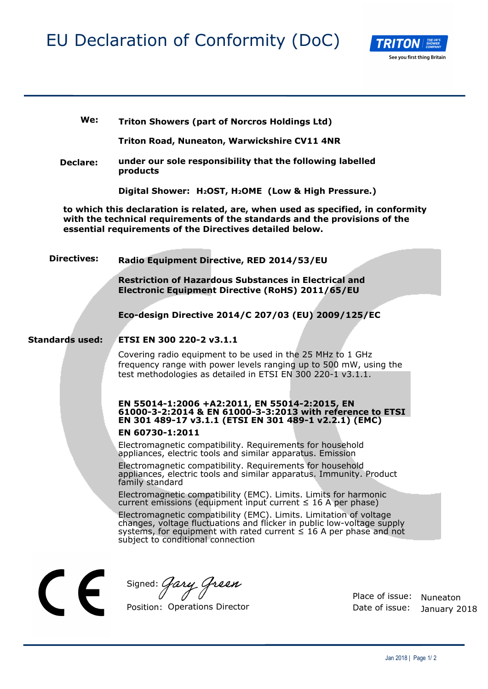## EU Declaration of Conformity (DoC)



**We: Triton Showers (part of Norcros Holdings Ltd)**

**Triton Road, Nuneaton, Warwickshire CV11 4NR**

**Declare: under our sole responsibility that the following labelled products** 

**Digital Shower: H2OST, H2OME (Low & High Pressure.)**

**to which this declaration is related, are, when used as specified, in conformity with the technical requirements of the standards and the provisions of the essential requirements of the Directives detailed below.** 

**Directives: Radio Equipment Directive, RED 2014/53/EU** 

> **Restriction of Hazardous Substances in Electrical and Electronic Equipment Directive (RoHS) 2011/65/EU**

**Eco-design Directive 2014/C 207/03 (EU) 2009/125/EC** 

#### **Standards used: ETSI EN 300 220-2 v3.1.1**

Covering radio equipment to be used in the 25 MHz to 1 GHz frequency range with power levels ranging up to 500 mW, using the test methodologies as detailed in ETSI EN 300 220-1 v3.1.1.

### **EN 55014-1:2006 +A2:2011, EN 55014-2:2015, EN 61000-3-2:2014 & EN 61000-3-3:2013 with reference to ETSI EN 301 489-17 v3.1.1 (ETSI EN 301 489-1 v2.2.1) (EMC)**

#### **EN 60730-1:2011**

Electromagnetic compatibility. Requirements for household appliances, electric tools and similar apparatus. Emission

Electromagnetic compatibility. Requirements for household appliances, electric tools and similar apparatus. Immunity. Product family standard

Electromagnetic compatibility (EMC). Limits. Limits for harmonic current emissions (equipment input current  $\leq$  16 A per phase)

Electromagnetic compatibility (EMC). Limits. Limitation of voltage changes, voltage fluctuations and flicker in public low-voltage supply systems, for equipment with rated current  $\leq$  16 A per phase and not subject to conditional connection

Signed: Gary Green

Position: Operations Director

Place of issue: Nuneaton Date of issue: January 2018